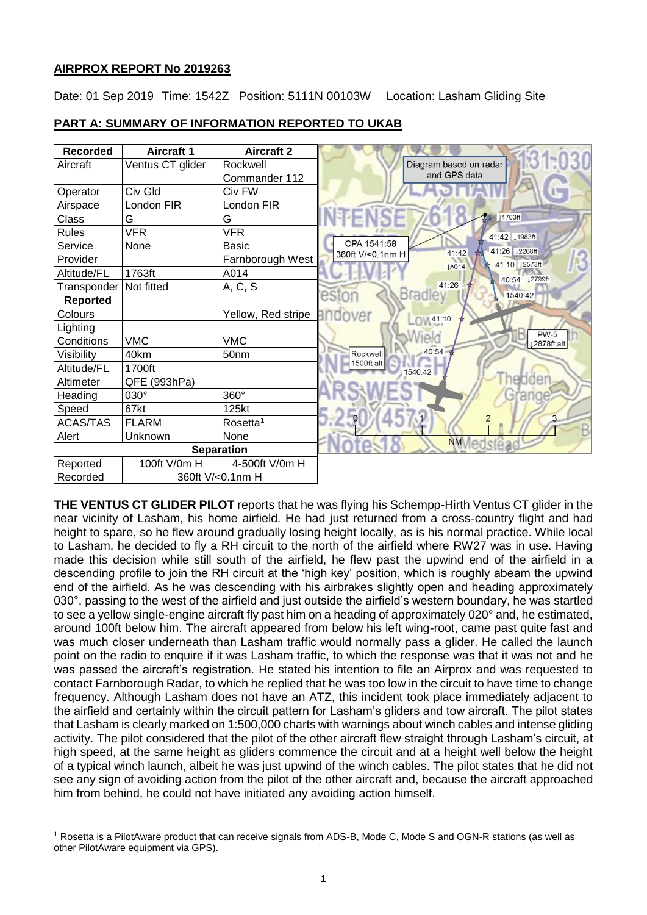### **AIRPROX REPORT No 2019263**

 $\overline{a}$ 

Date: 01 Sep 2019 Time: 1542Z Position: 5111N 00103W Location: Lasham Gliding Site





**THE VENTUS CT GLIDER PILOT** reports that he was flying his Schempp-Hirth Ventus CT glider in the near vicinity of Lasham, his home airfield. He had just returned from a cross-country flight and had height to spare, so he flew around gradually losing height locally, as is his normal practice. While local to Lasham, he decided to fly a RH circuit to the north of the airfield where RW27 was in use. Having made this decision while still south of the airfield, he flew past the upwind end of the airfield in a descending profile to join the RH circuit at the 'high key' position, which is roughly abeam the upwind end of the airfield. As he was descending with his airbrakes slightly open and heading approximately 030°, passing to the west of the airfield and just outside the airfield's western boundary, he was startled to see a yellow single-engine aircraft fly past him on a heading of approximately 020° and, he estimated, around 100ft below him. The aircraft appeared from below his left wing-root, came past quite fast and was much closer underneath than Lasham traffic would normally pass a glider. He called the launch point on the radio to enquire if it was Lasham traffic, to which the response was that it was not and he was passed the aircraft's registration. He stated his intention to file an Airprox and was requested to contact Farnborough Radar, to which he replied that he was too low in the circuit to have time to change frequency. Although Lasham does not have an ATZ, this incident took place immediately adjacent to the airfield and certainly within the circuit pattern for Lasham's gliders and tow aircraft. The pilot states that Lasham is clearly marked on 1:500,000 charts with warnings about winch cables and intense gliding activity. The pilot considered that the pilot of the other aircraft flew straight through Lasham's circuit, at high speed, at the same height as gliders commence the circuit and at a height well below the height of a typical winch launch, albeit he was just upwind of the winch cables. The pilot states that he did not see any sign of avoiding action from the pilot of the other aircraft and, because the aircraft approached him from behind, he could not have initiated any avoiding action himself.

<sup>1</sup> Rosetta is a PilotAware product that can receive signals from ADS-B, Mode C, Mode S and OGN-R stations (as well as other PilotAware equipment via GPS).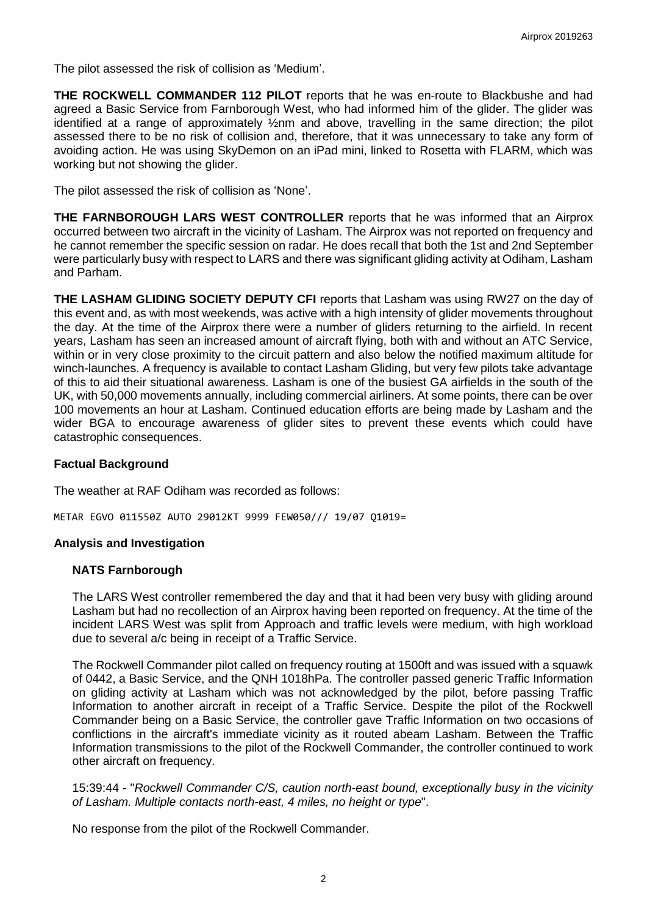The pilot assessed the risk of collision as 'Medium'.

**THE ROCKWELL COMMANDER 112 PILOT** reports that he was en-route to Blackbushe and had agreed a Basic Service from Farnborough West, who had informed him of the glider. The glider was identified at a range of approximately ½nm and above, travelling in the same direction; the pilot assessed there to be no risk of collision and, therefore, that it was unnecessary to take any form of avoiding action. He was using SkyDemon on an iPad mini, linked to Rosetta with FLARM, which was working but not showing the glider.

The pilot assessed the risk of collision as 'None'.

**THE FARNBOROUGH LARS WEST CONTROLLER** reports that he was informed that an Airprox occurred between two aircraft in the vicinity of Lasham. The Airprox was not reported on frequency and he cannot remember the specific session on radar. He does recall that both the 1st and 2nd September were particularly busy with respect to LARS and there was significant gliding activity at Odiham, Lasham and Parham.

**THE LASHAM GLIDING SOCIETY DEPUTY CFI** reports that Lasham was using RW27 on the day of this event and, as with most weekends, was active with a high intensity of glider movements throughout the day. At the time of the Airprox there were a number of gliders returning to the airfield. In recent years, Lasham has seen an increased amount of aircraft flying, both with and without an ATC Service, within or in very close proximity to the circuit pattern and also below the notified maximum altitude for winch-launches. A frequency is available to contact Lasham Gliding, but very few pilots take advantage of this to aid their situational awareness. Lasham is one of the busiest GA airfields in the south of the UK, with 50,000 movements annually, including commercial airliners. At some points, there can be over 100 movements an hour at Lasham. Continued education efforts are being made by Lasham and the wider BGA to encourage awareness of glider sites to prevent these events which could have catastrophic consequences.

### **Factual Background**

The weather at RAF Odiham was recorded as follows:

METAR EGVO 011550Z AUTO 29012KT 9999 FEW050/// 19/07 Q1019=

### **Analysis and Investigation**

## **NATS Farnborough**

The LARS West controller remembered the day and that it had been very busy with gliding around Lasham but had no recollection of an Airprox having been reported on frequency. At the time of the incident LARS West was split from Approach and traffic levels were medium, with high workload due to several a/c being in receipt of a Traffic Service.

The Rockwell Commander pilot called on frequency routing at 1500ft and was issued with a squawk of 0442, a Basic Service, and the QNH 1018hPa. The controller passed generic Traffic Information on gliding activity at Lasham which was not acknowledged by the pilot, before passing Traffic Information to another aircraft in receipt of a Traffic Service. Despite the pilot of the Rockwell Commander being on a Basic Service, the controller gave Traffic Information on two occasions of conflictions in the aircraft's immediate vicinity as it routed abeam Lasham. Between the Traffic Information transmissions to the pilot of the Rockwell Commander, the controller continued to work other aircraft on frequency.

15:39:44 - "*Rockwell Commander C/S, caution north-east bound, exceptionally busy in the vicinity of Lasham. Multiple contacts north-east, 4 miles, no height or type*".

No response from the pilot of the Rockwell Commander.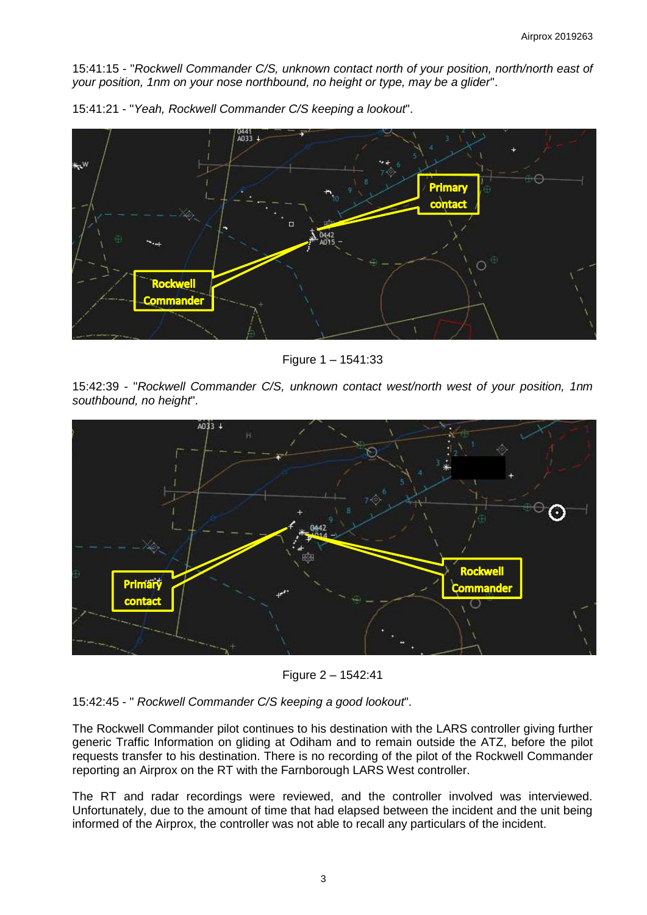15:41:15 - "*Rockwell Commander C/S, unknown contact north of your position, north/north east of your position, 1nm on your nose northbound, no height or type, may be a glider*".



15:41:21 - "*Yeah, Rockwell Commander C/S keeping a lookout*".

Figure 1 – 1541:33

15:42:39 - "*Rockwell Commander C/S, unknown contact west/north west of your position, 1nm southbound, no height*".



Figure 2 – 1542:41

## 15:42:45 - " *Rockwell Commander C/S keeping a good lookout*".

The Rockwell Commander pilot continues to his destination with the LARS controller giving further generic Traffic Information on gliding at Odiham and to remain outside the ATZ, before the pilot requests transfer to his destination. There is no recording of the pilot of the Rockwell Commander reporting an Airprox on the RT with the Farnborough LARS West controller.

The RT and radar recordings were reviewed, and the controller involved was interviewed. Unfortunately, due to the amount of time that had elapsed between the incident and the unit being informed of the Airprox, the controller was not able to recall any particulars of the incident.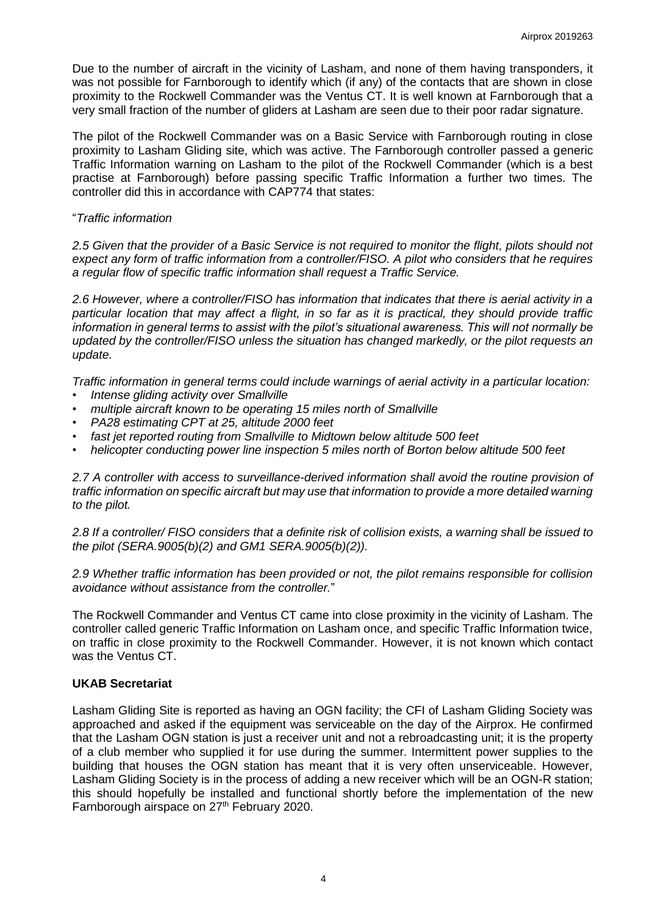Due to the number of aircraft in the vicinity of Lasham, and none of them having transponders, it was not possible for Farnborough to identify which (if any) of the contacts that are shown in close proximity to the Rockwell Commander was the Ventus CT. It is well known at Farnborough that a very small fraction of the number of gliders at Lasham are seen due to their poor radar signature.

The pilot of the Rockwell Commander was on a Basic Service with Farnborough routing in close proximity to Lasham Gliding site, which was active. The Farnborough controller passed a generic Traffic Information warning on Lasham to the pilot of the Rockwell Commander (which is a best practise at Farnborough) before passing specific Traffic Information a further two times. The controller did this in accordance with CAP774 that states:

## "*Traffic information*

*2.5 Given that the provider of a Basic Service is not required to monitor the flight, pilots should not expect any form of traffic information from a controller/FISO. A pilot who considers that he requires a regular flow of specific traffic information shall request a Traffic Service.* 

*2.6 However, where a controller/FISO has information that indicates that there is aerial activity in a particular location that may affect a flight, in so far as it is practical, they should provide traffic information in general terms to assist with the pilot's situational awareness. This will not normally be updated by the controller/FISO unless the situation has changed markedly, or the pilot requests an update.* 

*Traffic information in general terms could include warnings of aerial activity in a particular location:* 

- *• Intense gliding activity over Smallville*
- *• multiple aircraft known to be operating 15 miles north of Smallville*
- *• PA28 estimating CPT at 25, altitude 2000 feet*
- *• fast jet reported routing from Smallville to Midtown below altitude 500 feet*
- *• helicopter conducting power line inspection 5 miles north of Borton below altitude 500 feet*

*2.7 A controller with access to surveillance-derived information shall avoid the routine provision of traffic information on specific aircraft but may use that information to provide a more detailed warning to the pilot.*

*2.8 If a controller/ FISO considers that a definite risk of collision exists, a warning shall be issued to the pilot (SERA.9005(b)(2) and GM1 SERA.9005(b)(2)).*

*2.9 Whether traffic information has been provided or not, the pilot remains responsible for collision avoidance without assistance from the controller.*"

The Rockwell Commander and Ventus CT came into close proximity in the vicinity of Lasham. The controller called generic Traffic Information on Lasham once, and specific Traffic Information twice, on traffic in close proximity to the Rockwell Commander. However, it is not known which contact was the Ventus CT.

## **UKAB Secretariat**

Lasham Gliding Site is reported as having an OGN facility; the CFI of Lasham Gliding Society was approached and asked if the equipment was serviceable on the day of the Airprox. He confirmed that the Lasham OGN station is just a receiver unit and not a rebroadcasting unit; it is the property of a club member who supplied it for use during the summer. Intermittent power supplies to the building that houses the OGN station has meant that it is very often unserviceable. However, Lasham Gliding Society is in the process of adding a new receiver which will be an OGN-R station; this should hopefully be installed and functional shortly before the implementation of the new Farnborough airspace on 27<sup>th</sup> February 2020.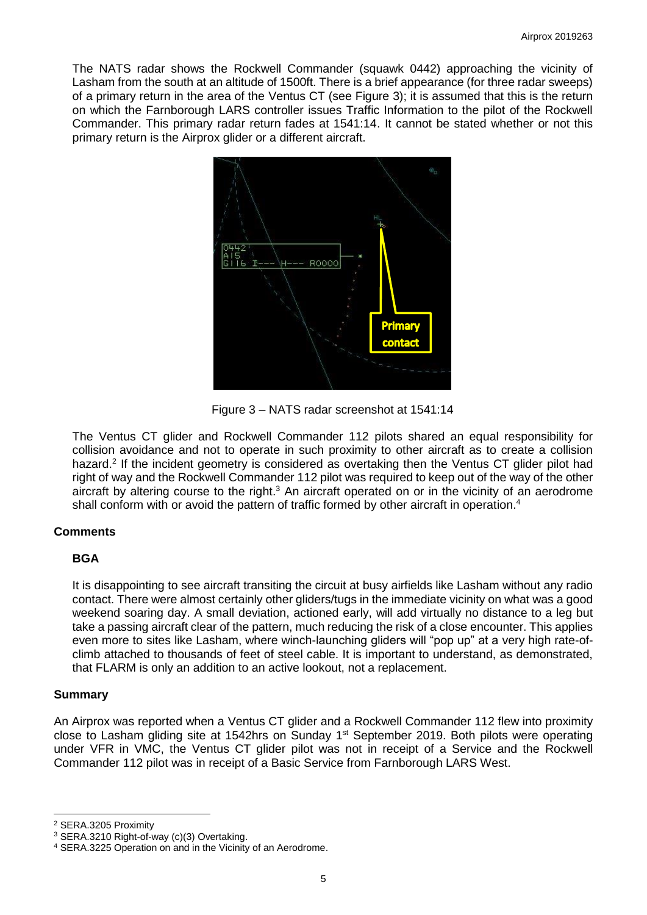The NATS radar shows the Rockwell Commander (squawk 0442) approaching the vicinity of Lasham from the south at an altitude of 1500ft. There is a brief appearance (for three radar sweeps) of a primary return in the area of the Ventus CT (see Figure 3); it is assumed that this is the return on which the Farnborough LARS controller issues Traffic Information to the pilot of the Rockwell Commander. This primary radar return fades at 1541:14. It cannot be stated whether or not this primary return is the Airprox glider or a different aircraft.



Figure 3 – NATS radar screenshot at 1541:14

The Ventus CT glider and Rockwell Commander 112 pilots shared an equal responsibility for collision avoidance and not to operate in such proximity to other aircraft as to create a collision hazard.<sup>2</sup> If the incident geometry is considered as overtaking then the Ventus CT glider pilot had right of way and the Rockwell Commander 112 pilot was required to keep out of the way of the other aircraft by altering course to the right.<sup>3</sup> An aircraft operated on or in the vicinity of an aerodrome shall conform with or avoid the pattern of traffic formed by other aircraft in operation.<sup>4</sup>

## **Comments**

## **BGA**

It is disappointing to see aircraft transiting the circuit at busy airfields like Lasham without any radio contact. There were almost certainly other gliders/tugs in the immediate vicinity on what was a good weekend soaring day. A small deviation, actioned early, will add virtually no distance to a leg but take a passing aircraft clear of the pattern, much reducing the risk of a close encounter. This applies even more to sites like Lasham, where winch-launching gliders will "pop up" at a very high rate-ofclimb attached to thousands of feet of steel cable. It is important to understand, as demonstrated, that FLARM is only an addition to an active lookout, not a replacement.

### **Summary**

An Airprox was reported when a Ventus CT glider and a Rockwell Commander 112 flew into proximity close to Lasham gliding site at 1542hrs on Sunday 1<sup>st</sup> September 2019. Both pilots were operating under VFR in VMC, the Ventus CT glider pilot was not in receipt of a Service and the Rockwell Commander 112 pilot was in receipt of a Basic Service from Farnborough LARS West.

 $\overline{\phantom{a}}$ <sup>2</sup> SERA.3205 Proximity

<sup>&</sup>lt;sup>3</sup> SERA.3210 Right-of-way (c)(3) Overtaking.

<sup>4</sup> SERA.3225 Operation on and in the Vicinity of an Aerodrome.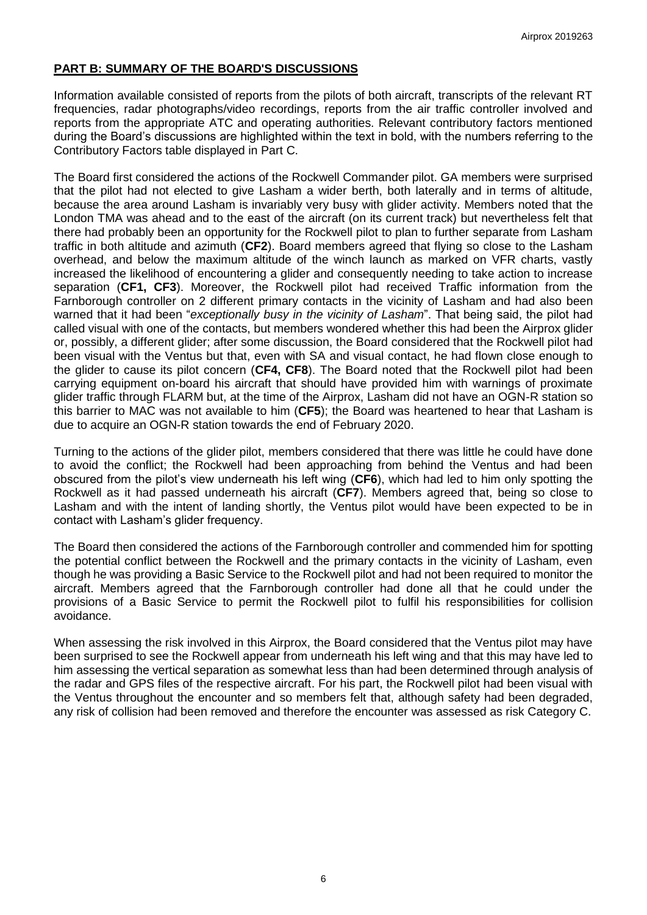# **PART B: SUMMARY OF THE BOARD'S DISCUSSIONS**

Information available consisted of reports from the pilots of both aircraft, transcripts of the relevant RT frequencies, radar photographs/video recordings, reports from the air traffic controller involved and reports from the appropriate ATC and operating authorities. Relevant contributory factors mentioned during the Board's discussions are highlighted within the text in bold, with the numbers referring to the Contributory Factors table displayed in Part C.

The Board first considered the actions of the Rockwell Commander pilot. GA members were surprised that the pilot had not elected to give Lasham a wider berth, both laterally and in terms of altitude, because the area around Lasham is invariably very busy with glider activity. Members noted that the London TMA was ahead and to the east of the aircraft (on its current track) but nevertheless felt that there had probably been an opportunity for the Rockwell pilot to plan to further separate from Lasham traffic in both altitude and azimuth (**CF2**). Board members agreed that flying so close to the Lasham overhead, and below the maximum altitude of the winch launch as marked on VFR charts, vastly increased the likelihood of encountering a glider and consequently needing to take action to increase separation (**CF1, CF3**). Moreover, the Rockwell pilot had received Traffic information from the Farnborough controller on 2 different primary contacts in the vicinity of Lasham and had also been warned that it had been "*exceptionally busy in the vicinity of Lasham*". That being said, the pilot had called visual with one of the contacts, but members wondered whether this had been the Airprox glider or, possibly, a different glider; after some discussion, the Board considered that the Rockwell pilot had been visual with the Ventus but that, even with SA and visual contact, he had flown close enough to the glider to cause its pilot concern (**CF4, CF8**). The Board noted that the Rockwell pilot had been carrying equipment on-board his aircraft that should have provided him with warnings of proximate glider traffic through FLARM but, at the time of the Airprox, Lasham did not have an OGN-R station so this barrier to MAC was not available to him (**CF5**); the Board was heartened to hear that Lasham is due to acquire an OGN-R station towards the end of February 2020.

Turning to the actions of the glider pilot, members considered that there was little he could have done to avoid the conflict; the Rockwell had been approaching from behind the Ventus and had been obscured from the pilot's view underneath his left wing (**CF6**), which had led to him only spotting the Rockwell as it had passed underneath his aircraft (**CF7**). Members agreed that, being so close to Lasham and with the intent of landing shortly, the Ventus pilot would have been expected to be in contact with Lasham's glider frequency.

The Board then considered the actions of the Farnborough controller and commended him for spotting the potential conflict between the Rockwell and the primary contacts in the vicinity of Lasham, even though he was providing a Basic Service to the Rockwell pilot and had not been required to monitor the aircraft. Members agreed that the Farnborough controller had done all that he could under the provisions of a Basic Service to permit the Rockwell pilot to fulfil his responsibilities for collision avoidance.

When assessing the risk involved in this Airprox, the Board considered that the Ventus pilot may have been surprised to see the Rockwell appear from underneath his left wing and that this may have led to him assessing the vertical separation as somewhat less than had been determined through analysis of the radar and GPS files of the respective aircraft. For his part, the Rockwell pilot had been visual with the Ventus throughout the encounter and so members felt that, although safety had been degraded, any risk of collision had been removed and therefore the encounter was assessed as risk Category C.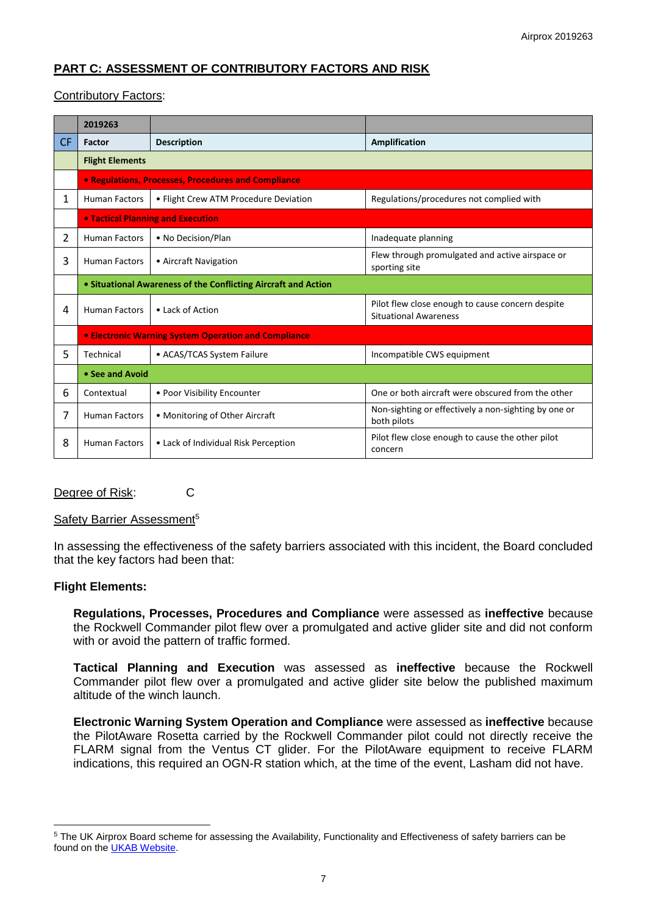# **PART C: ASSESSMENT OF CONTRIBUTORY FACTORS AND RISK**

## Contributory Factors:

|    | 2019263                                                        |                                       |                                                                                  |
|----|----------------------------------------------------------------|---------------------------------------|----------------------------------------------------------------------------------|
| CF | Factor                                                         | <b>Description</b>                    | Amplification                                                                    |
|    | <b>Flight Elements</b>                                         |                                       |                                                                                  |
|    | • Regulations, Processes, Procedures and Compliance            |                                       |                                                                                  |
| 1  | <b>Human Factors</b>                                           | • Flight Crew ATM Procedure Deviation | Regulations/procedures not complied with                                         |
|    | <b>• Tactical Planning and Execution</b>                       |                                       |                                                                                  |
| 2  | <b>Human Factors</b>                                           | • No Decision/Plan                    | Inadequate planning                                                              |
| 3  | <b>Human Factors</b>                                           | • Aircraft Navigation                 | Flew through promulgated and active airspace or<br>sporting site                 |
|    | • Situational Awareness of the Conflicting Aircraft and Action |                                       |                                                                                  |
| 4  | <b>Human Factors</b>                                           | • Lack of Action                      | Pilot flew close enough to cause concern despite<br><b>Situational Awareness</b> |
|    | <b>• Electronic Warning System Operation and Compliance</b>    |                                       |                                                                                  |
| 5  | Technical                                                      | • ACAS/TCAS System Failure            | Incompatible CWS equipment                                                       |
|    | • See and Avoid                                                |                                       |                                                                                  |
| 6  | Contextual                                                     | • Poor Visibility Encounter           | One or both aircraft were obscured from the other                                |
| 7  | <b>Human Factors</b>                                           | • Monitoring of Other Aircraft        | Non-sighting or effectively a non-sighting by one or<br>both pilots              |
| 8  | <b>Human Factors</b>                                           | • Lack of Individual Risk Perception  | Pilot flew close enough to cause the other pilot<br>concern                      |

### Degree of Risk: C

### Safety Barrier Assessment<sup>5</sup>

In assessing the effectiveness of the safety barriers associated with this incident, the Board concluded that the key factors had been that:

### **Flight Elements:**

 $\overline{a}$ 

**Regulations, Processes, Procedures and Compliance** were assessed as **ineffective** because the Rockwell Commander pilot flew over a promulgated and active glider site and did not conform with or avoid the pattern of traffic formed.

**Tactical Planning and Execution** was assessed as **ineffective** because the Rockwell Commander pilot flew over a promulgated and active glider site below the published maximum altitude of the winch launch.

**Electronic Warning System Operation and Compliance** were assessed as **ineffective** because the PilotAware Rosetta carried by the Rockwell Commander pilot could not directly receive the FLARM signal from the Ventus CT glider. For the PilotAware equipment to receive FLARM indications, this required an OGN-R station which, at the time of the event, Lasham did not have.

<sup>&</sup>lt;sup>5</sup> The UK Airprox Board scheme for assessing the Availability, Functionality and Effectiveness of safety barriers can be found on the [UKAB Website.](http://www.airproxboard.org.uk/Learn-more/Airprox-Barrier-Assessment/)